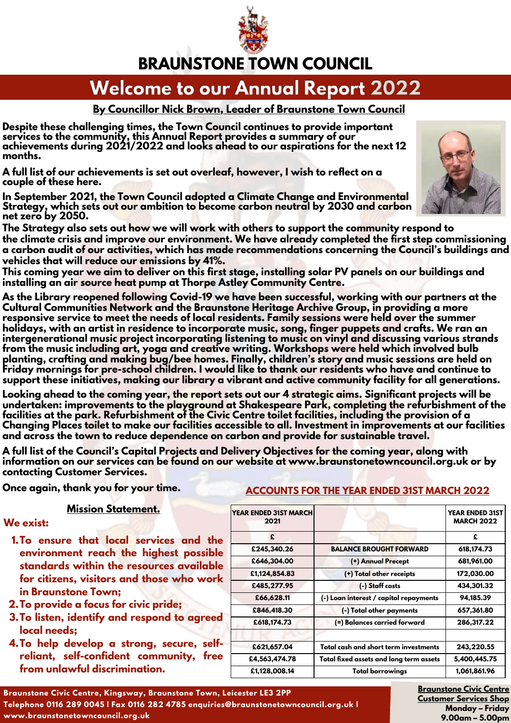

### **BRAUNSTONE TOWN COUNCIL**

### **Welcome to our Annual Report 2022**

### **By Councillor Nick Brown, Leader of Braunstone Town Council**

**Despite these challenging times, the Town Council continues to provide important services to the community, this Annual Report provides a summary of our achievements during 2021/2022 and looks ahead to our aspirations for the next 12 months.** 

**A full list of our achievements is set out overleaf, however, I wish to reflect on a couple of these here.**

**In September 2021, the Town Council adopted a Climate Change and Environmental Strategy, which sets out our ambition to become carbon neutral by 2030 and carbon net zero by 2050.** 



**This coming year we aim to deliver on this first stage, installing solar PV panels on our buildings and installing an air source heat pump at Thorpe Astley Community Centre.**

**As the Library reopened following Covid-19 we have been successful, working with our partners at the Cultural Communities Network and the Braunstone Heritage Archive Group, in providing a more responsive service to meet the needs of local residents. Family sessions were held over the summer holidays, with an artist in residence to incorporate music, song, finger puppets and crafts. We ran an intergenerational music project incorporating listening to music on vinyl and discussing various strands from the music including art, yoga and creative writing. Workshops were held which involved bulb planting, crafting and making bug/bee homes. Finally, children's story and music sessions are held on Friday mornings for pre-school children. I would like to thank our residents who have and continue to support these initiatives, making our library a vibrant and active community facility for all generations.**

**Looking ahead to the coming year, the report sets out our 4 strategic aims. Significant projects will be undertaken: improvements to the playground at Shakespeare Park, completing the refurbishment of the facilities at the park. Refurbishment of the Civic Centre toilet facilities, including the provision of a Changing Places toilet to make our facilities accessible to all. Investment in improvements at our facilities and across the town to reduce dependence on carbon and provide for sustainable travel.**

**A full list of the Council's Capital Projects and Delivery Objectives for the coming year, along with information on our services can be found on our website at www.braunstonetowncouncil.org.uk or by contacting Customer Services.**

#### **Mission Statement.**

#### **We exist:**

- **To ensure that local services and the 1. environment reach the highest possible standards within the resources available for citizens, visitors and those who work in Braunstone Town;**
- **To provide a focus for civic pride; 2.**
- **To listen, identify and respond to agreed 3. local needs;**
- **To help develop a strong, secure, self-4. reliant, self-confident community, free from unlawful discrimination.**

### Once again, thank you for your time. **ACCOUNTS FOR THE YEAR ENDED 31ST MARCH 2022**

| <b>YEAR ENDED 31ST MARCH</b><br>2021 |                                         | <b>YEAR ENDED 31ST</b><br><b>MARCH 2022</b> |
|--------------------------------------|-----------------------------------------|---------------------------------------------|
| £                                    |                                         | £                                           |
| £245,340.26                          | <b>BALANCE BROUGHT FORWARD</b>          | 618, 174. 73                                |
| £646,304.00                          | (+) Annual Precept                      | 681,961.00                                  |
| £1,124,854.83                        | (+) Total other receipts                | 172,030.00                                  |
| £485,277.95                          | (-) Staff costs                         | 434,301.32                                  |
| £66,628.11                           | (-) Loan interest / capital repayments  | 94,185.39                                   |
| £846,418.30                          | (-) Total other payments                | 657,361.80                                  |
| £618,174.73                          | (=) Balances carried forward            | 286,317.22                                  |
| £621,657.04                          | Total cash and short term investments   | 243,220.55                                  |
| £4,563,474.78                        | Total fixed assets and long term assets | 5,400,445.75                                |
| £1,128,008.14                        | <b>Total borrowings</b>                 | 1,061,861.96                                |

**Braunstone Civic Centre Customer Services Shop Monday – Friday 9.00am – 5.00pm**

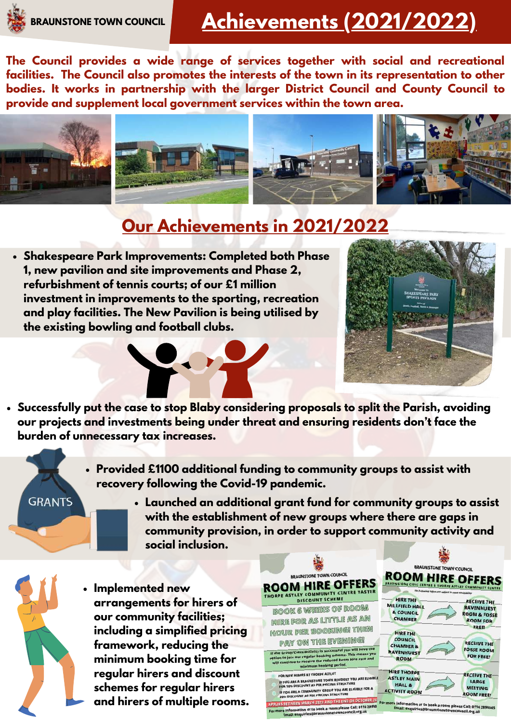### **Achievements (2021/2022)**

**The Council provides a wide range of services together with social and recreational facilities. The Council also promotes the interests of the town in its representation to other bodies. It works in partnership with the larger District Council and County Council to provide and supplement local government services within the town area.**



### **Our Achievements in 2021/2022**

**Shakespeare Park Improvements: Completed both Phase 1, new pavilion and site improvements and Phase 2, refurbishment of tennis courts; of our £1 million investment in improvements to the sporting, recreation and play facilities. The New Pavilion is being utilised by the existing bowling and football clubs.**



**Successfully put the case to stop Blaby considering proposals to split the Parish, avoiding our projects and investments being under threat and ensuring residents don't face the burden of unnecessary tax increases.**

- **Provided £1100 additional funding to community groups to assist with recovery following the Covid-19 pandemic.**
- **GRANTS**
- **Launched an additional grant fund for community groups to assist with the establishment of new groups where there are gaps in community provision, in order to support community activity and social inclusion.**



**Implemented new arrangements for hirers of our community facilities; including a simplified pricing framework, reducing the minimum booking time for regular hirers and discount schemes for regular hirers and hirers of multiple rooms.**

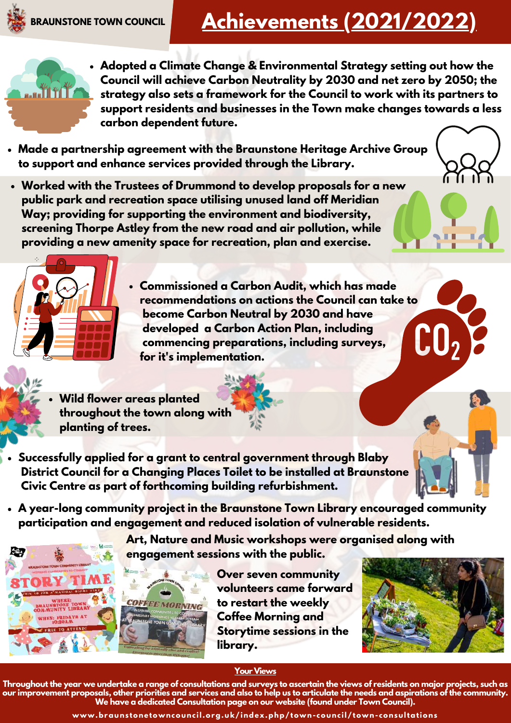## **Achievements (2021/2022)**



- **Adopted a Climate Change & Environmental Strategy setting out how the Council will achieve Carbon Neutrality by 2030 and net zero by 2050; the strategy also sets a framework for the Council to work with its partners to support residents and businesses in the Town make changes towards a less carbon dependent future.**
- **Made a partnership agreement with the Braunstone Heritage Archive Group to support and enhance services provided through the Library.**
- **Worked with the Trustees of Drummond to develop proposals for a new public park and recreation space utilising unused land off Meridian Way; providing for supporting the environment and biodiversity, screening Thorpe Astley from the new road and air pollution, while providing a new amenity space for recreation, plan and exercise.**



- **Commissioned a Carbon Audit, which has made recommendations on actions the Council can take to become Carbon Neutral by 2030 and have developed a Carbon Action Plan, including commencing preparations, including surveys, for it's implementation.**
- **Wild flower areas planted throughout the town along with planting of trees.**
- **Successfully applied for a grant to central government through Blaby District Council for a Changing Places Toilet to be installed at Braunstone Civic Centre as part of forthcoming building refurbishment.**
- **A year-long community project in the Braunstone Town Library encouraged community participation and engagement and reduced isolation of vulnerable residents.**

**Art, Nature and Music workshops were organised along with engagement sessions with the public.** 



**Over seven community volunteers came forward to restart the weekly Coffee Morning and Storytime sessions in the library.** 



#### **Your Views**

**Throughout the year we undertake a range of consultations and surveys to ascertain the views of residents on major projects, such as our improvement proposals, other priorities and services and also to help us to articulate the needs and aspirations of the community. We have a dedicated Consultation page on our website (found under Town Council).**